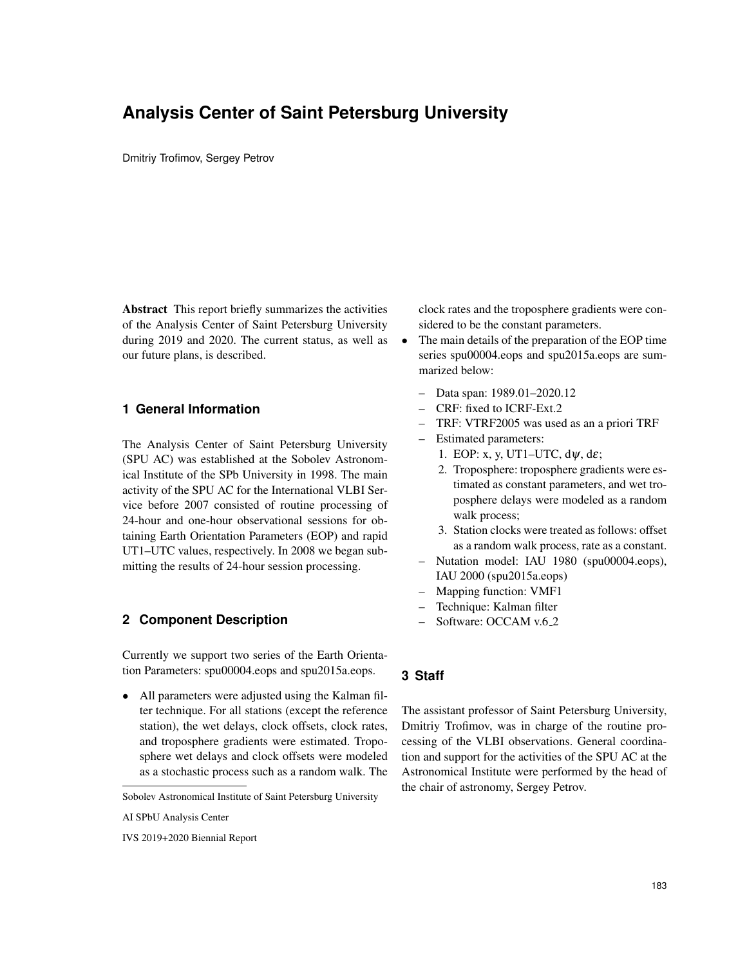# **Analysis Center of Saint Petersburg University**

Dmitriy Trofimov, Sergey Petrov

Abstract This report briefly summarizes the activities of the Analysis Center of Saint Petersburg University during 2019 and 2020. The current status, as well as  $\bullet$ our future plans, is described.

## **1 General Information**

The Analysis Center of Saint Petersburg University (SPU AC) was established at the Sobolev Astronomical Institute of the SPb University in 1998. The main activity of the SPU AC for the International VLBI Service before 2007 consisted of routine processing of 24-hour and one-hour observational sessions for obtaining Earth Orientation Parameters (EOP) and rapid UT1–UTC values, respectively. In 2008 we began submitting the results of 24-hour session processing.

## **2 Component Description**

Currently we support two series of the Earth Orientation Parameters: spu00004.eops and spu2015a.eops.

• All parameters were adjusted using the Kalman filter technique. For all stations (except the reference station), the wet delays, clock offsets, clock rates, and troposphere gradients were estimated. Troposphere wet delays and clock offsets were modeled as a stochastic process such as a random walk. The clock rates and the troposphere gradients were considered to be the constant parameters.

- The main details of the preparation of the EOP time series spu00004.eops and spu2015a.eops are summarized below:
	- Data span: 1989.01–2020.12
	- CRF: fixed to ICRF-Ext.2
	- TRF: VTRF2005 was used as an a priori TRF
	- Estimated parameters:
		- 1. EOP: x, y, UT1–UTC,  $d\psi$ , d $\varepsilon$ ;
		- 2. Troposphere: troposphere gradients were estimated as constant parameters, and wet troposphere delays were modeled as a random walk process;
		- 3. Station clocks were treated as follows: offset as a random walk process, rate as a constant.
	- Nutation model: IAU 1980 (spu00004.eops), IAU 2000 (spu2015a.eops)
	- Mapping function: VMF1
	- Technique: Kalman filter
	- Software: OCCAM v.6.2

#### **3 Staff**

The assistant professor of Saint Petersburg University, Dmitriy Trofimov, was in charge of the routine processing of the VLBI observations. General coordination and support for the activities of the SPU AC at the Astronomical Institute were performed by the head of the chair of astronomy, Sergey Petrov.

Sobolev Astronomical Institute of Saint Petersburg University

AI SPbU Analysis Center

IVS 2019+2020 Biennial Report